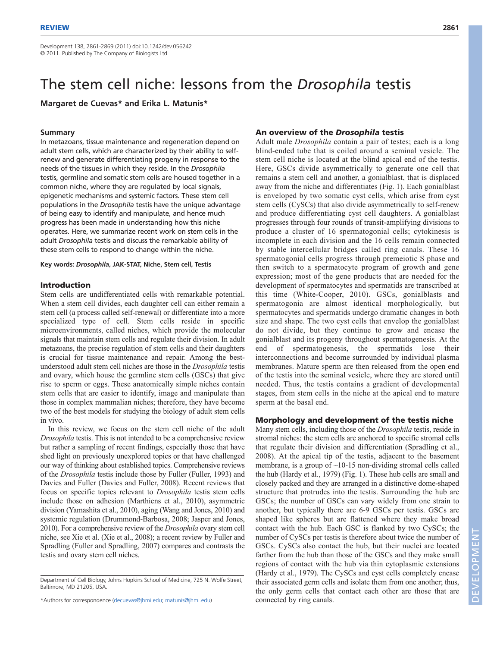# The stem cell niche: lessons from the *Drosophila* testis

**Margaret de Cuevas\* and Erika L. Matunis\***

#### **Summary**

In metazoans, tissue maintenance and regeneration depend on adult stem cells, which are characterized by their ability to selfrenew and generate differentiating progeny in response to the needs of the tissues in which they reside. In the *Drosophila* testis, germline and somatic stem cells are housed together in a common niche, where they are regulated by local signals, epigenetic mechanisms and systemic factors. These stem cell populations in the *Drosophila* testis have the unique advantage of being easy to identify and manipulate, and hence much progress has been made in understanding how this niche operates. Here, we summarize recent work on stem cells in the adult *Drosophila* testis and discuss the remarkable ability of these stem cells to respond to change within the niche.

**Key words:** *Drosophila***, JAK-STAT, Niche, Stem cell, Testis**

## **Introduction**

Stem cells are undifferentiated cells with remarkable potential. When a stem cell divides, each daughter cell can either remain a stem cell (a process called self-renewal) or differentiate into a more specialized type of cell. Stem cells reside in specific microenvironments, called niches, which provide the molecular signals that maintain stem cells and regulate their division. In adult metazoans, the precise regulation of stem cells and their daughters is crucial for tissue maintenance and repair. Among the bestunderstood adult stem cell niches are those in the *Drosophila* testis and ovary, which house the germline stem cells (GSCs) that give rise to sperm or eggs. These anatomically simple niches contain stem cells that are easier to identify, image and manipulate than those in complex mammalian niches; therefore, they have become two of the best models for studying the biology of adult stem cells in vivo.

In this review, we focus on the stem cell niche of the adult *Drosophila* testis. This is not intended to be a comprehensive review but rather a sampling of recent findings, especially those that have shed light on previously unexplored topics or that have challenged our way of thinking about established topics. Comprehensive reviews of the *Drosophila* testis include those by Fuller (Fuller, 1993) and Davies and Fuller (Davies and Fuller, 2008). Recent reviews that focus on specific topics relevant to *Drosophila* testis stem cells include those on adhesion (Marthiens et al., 2010), asymmetric division (Yamashita et al., 2010), aging (Wang and Jones, 2010) and systemic regulation (Drummond-Barbosa, 2008; Jasper and Jones, 2010). For a comprehensive review of the *Drosophila* ovary stem cell niche, see Xie et al. (Xie et al., 2008); a recent review by Fuller and Spradling (Fuller and Spradling, 2007) compares and contrasts the testis and ovary stem cell niches.

#### **An overview of the** *Drosophila* **testis**

Adult male *Drosophila* contain a pair of testes; each is a long blind-ended tube that is coiled around a seminal vesicle. The stem cell niche is located at the blind apical end of the testis. Here, GSCs divide asymmetrically to generate one cell that remains a stem cell and another, a gonialblast, that is displaced away from the niche and differentiates (Fig. 1). Each gonialblast is enveloped by two somatic cyst cells, which arise from cyst stem cells (CySCs) that also divide asymmetrically to self-renew and produce differentiating cyst cell daughters. A gonialblast progresses through four rounds of transit-amplifying divisions to produce a cluster of 16 spermatogonial cells; cytokinesis is incomplete in each division and the 16 cells remain connected by stable intercellular bridges called ring canals. These 16 spermatogonial cells progress through premeiotic S phase and then switch to a spermatocyte program of growth and gene expression; most of the gene products that are needed for the development of spermatocytes and spermatids are transcribed at this time (White-Cooper, 2010). GSCs, gonialblasts and spermatogonia are almost identical morphologically, but spermatocytes and spermatids undergo dramatic changes in both size and shape. The two cyst cells that envelop the gonialblast do not divide, but they continue to grow and encase the gonialblast and its progeny throughout spermatogenesis. At the end of spermatogenesis, the spermatids lose their interconnections and become surrounded by individual plasma membranes. Mature sperm are then released from the open end of the testis into the seminal vesicle, where they are stored until needed. Thus, the testis contains a gradient of developmental stages, from stem cells in the niche at the apical end to mature sperm at the basal end.

#### **Morphology and development of the testis niche**

Many stem cells, including those of the *Drosophila* testis, reside in stromal niches: the stem cells are anchored to specific stromal cells that regulate their division and differentiation (Spradling et al., 2008). At the apical tip of the testis, adjacent to the basement membrane, is a group of  $\sim$ 10-15 non-dividing stromal cells called the hub (Hardy et al., 1979) (Fig. 1). These hub cells are small and closely packed and they are arranged in a distinctive dome-shaped structure that protrudes into the testis. Surrounding the hub are GSCs; the number of GSCs can vary widely from one strain to another, but typically there are 6-9 GSCs per testis. GSCs are shaped like spheres but are flattened where they make broad contact with the hub. Each GSC is flanked by two CySCs; the number of CySCs per testis is therefore about twice the number of GSCs. CySCs also contact the hub, but their nuclei are located farther from the hub than those of the GSCs and they make small regions of contact with the hub via thin cytoplasmic extensions (Hardy et al., 1979). The CySCs and cyst cells completely encase their associated germ cells and isolate them from one another; thus, the only germ cells that contact each other are those that are connected by ring canals.

Department of Cell Biology, Johns Hopkins School of Medicine, 725 N. Wolfe Street, Baltimore, MD 21205, USA.

<sup>\*</sup>Authors for correspondence (decuevas@jhmi.edu; matunis@jhmi.edu)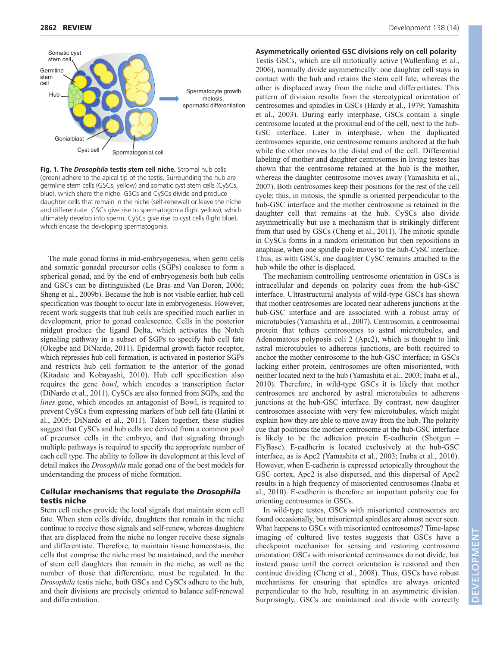

**Fig. 1. The** *Drosophila* **testis stem cell niche.** Stromal hub cells (green) adhere to the apical tip of the testis. Surrounding the hub are germline stem cells (GSCs, yellow) and somatic cyst stem cells (CySCs, blue), which share the niche. GSCs and CySCs divide and produce daughter cells that remain in the niche (self-renewal) or leave the niche and differentiate. GSCs give rise to spermatogonia (light yellow), which ultimately develop into sperm; CySCs give rise to cyst cells (light blue), which encase the developing spermatogonia.

The male gonad forms in mid-embryogenesis, when germ cells and somatic gonadal precursor cells (SGPs) coalesce to form a spherical gonad, and by the end of embryogenesis both hub cells and GSCs can be distinguished (Le Bras and Van Doren, 2006; Sheng et al., 2009b). Because the hub is not visible earlier, hub cell specification was thought to occur late in embryogenesis. However, recent work suggests that hub cells are specified much earlier in development, prior to gonad coalescence. Cells in the posterior midgut produce the ligand Delta, which activates the Notch signaling pathway in a subset of SGPs to specify hub cell fate (Okegbe and DiNardo, 2011). Epidermal growth factor receptor, which represses hub cell formation, is activated in posterior SGPs and restricts hub cell formation to the anterior of the gonad (Kitadate and Kobayashi, 2010). Hub cell specification also requires the gene *bowl*, which encodes a transcription factor (DiNardo et al., 2011). CySCs are also formed from SGPs, and the *lines* gene, which encodes an antagonist of Bowl, is required to prevent CySCs from expressing markers of hub cell fate (Hatini et al., 2005; DiNardo et al., 2011). Taken together, these studies suggest that CySCs and hub cells are derived from a common pool of precursor cells in the embryo, and that signaling through multiple pathways is required to specify the appropriate number of each cell type. The ability to follow its development at this level of detail makes the *Drosophila* male gonad one of the best models for understanding the process of niche formation.

## **Cellular mechanisms that regulate the** *Drosophila* **testis niche**

Stem cell niches provide the local signals that maintain stem cell fate. When stem cells divide, daughters that remain in the niche continue to receive these signals and self-renew, whereas daughters that are displaced from the niche no longer receive these signals and differentiate. Therefore, to maintain tissue homeostasis, the cells that comprise the niche must be maintained, and the number of stem cell daughters that remain in the niche, as well as the number of those that differentiate, must be regulated. In the *Drosophila* testis niche, both GSCs and CySCs adhere to the hub, and their divisions are precisely oriented to balance self-renewal and differentiation.

**Asymmetrically oriented GSC divisions rely on cell polarity** Testis GSCs, which are all mitotically active (Wallenfang et al., 2006), normally divide asymmetrically: one daughter cell stays in contact with the hub and retains the stem cell fate, whereas the other is displaced away from the niche and differentiates. This pattern of division results from the stereotypical orientation of centrosomes and spindles in GSCs (Hardy et al., 1979; Yamashita et al., 2003). During early interphase, GSCs contain a single centrosome located at the proximal end of the cell, next to the hub-GSC interface. Later in interphase, when the duplicated centrosomes separate, one centrosome remains anchored at the hub while the other moves to the distal end of the cell. Differential labeling of mother and daughter centrosomes in living testes has shown that the centrosome retained at the hub is the mother, whereas the daughter centrosome moves away (Yamashita et al., 2007). Both centrosomes keep their positions for the rest of the cell cycle; thus, in mitosis, the spindle is oriented perpendicular to the hub-GSC interface and the mother centrosome is retained in the daughter cell that remains at the hub. CySCs also divide asymmetrically but use a mechanism that is strikingly different from that used by GSCs (Cheng et al., 2011). The mitotic spindle in CySCs forms in a random orientation but then repositions in anaphase, when one spindle pole moves to the hub-CySC interface. Thus, as with GSCs, one daughter CySC remains attached to the hub while the other is displaced.

The mechanism controlling centrosome orientation in GSCs is intracellular and depends on polarity cues from the hub-GSC interface. Ultrastructural analysis of wild-type GSCs has shown that mother centrosomes are located near adherens junctions at the hub-GSC interface and are associated with a robust array of microtubules (Yamashita et al., 2007). Centrosomin, a centrosomal protein that tethers centrosomes to astral microtubules, and Adenomatous polyposis coli 2 (Apc2), which is thought to link astral microtubules to adherens junctions, are both required to anchor the mother centrosome to the hub-GSC interface; in GSCs lacking either protein, centrosomes are often misoriented, with neither located next to the hub (Yamashita et al., 2003; Inaba et al., 2010). Therefore, in wild-type GSCs it is likely that mother centrosomes are anchored by astral microtubules to adherens junctions at the hub-GSC interface. By contrast, new daughter centrosomes associate with very few microtubules, which might explain how they are able to move away from the hub. The polarity cue that positions the mother centrosome at the hub-GSC interface is likely to be the adhesion protein E-cadherin (Shotgun – FlyBase). E-cadherin is located exclusively at the hub-GSC interface, as is Apc2 (Yamashita et al., 2003; Inaba et al., 2010). However, when E-cadherin is expressed ectopically throughout the GSC cortex, Apc2 is also dispersed, and this dispersal of Apc2 results in a high frequency of misoriented centrosomes (Inaba et al., 2010). E-cadherin is therefore an important polarity cue for orienting centrosomes in GSCs.

In wild-type testes, GSCs with misoriented centrosomes are found occasionally, but misoriented spindles are almost never seen. What happens to GSCs with misoriented centrosomes? Time-lapse imaging of cultured live testes suggests that GSCs have a checkpoint mechanism for sensing and restoring centrosome orientation: GSCs with misoriented centrosomes do not divide, but instead pause until the correct orientation is restored and then continue dividing (Cheng et al., 2008). Thus, GSCs have robust mechanisms for ensuring that spindles are always oriented perpendicular to the hub, resulting in an asymmetric division. Surprisingly, GSCs are maintained and divide with correctly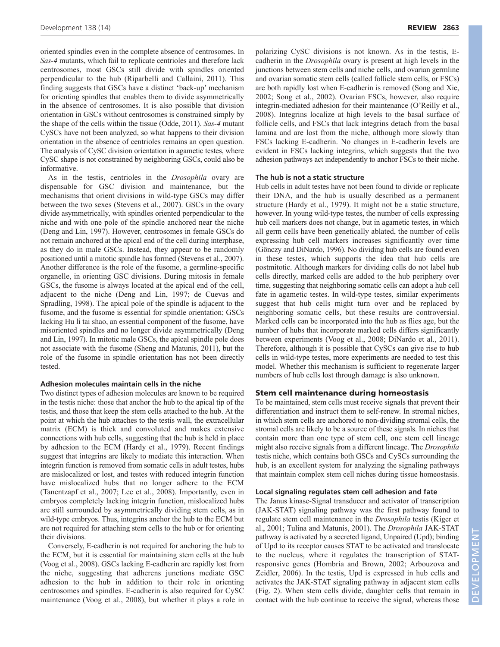oriented spindles even in the complete absence of centrosomes. In *Sas-4* mutants, which fail to replicate centrioles and therefore lack centrosomes, most GSCs still divide with spindles oriented perpendicular to the hub (Riparbelli and Callaini, 2011). This finding suggests that GSCs have a distinct 'back-up' mechanism for orienting spindles that enables them to divide asymmetrically in the absence of centrosomes. It is also possible that division orientation in GSCs without centrosomes is constrained simply by the shape of the cells within the tissue (Odde, 2011). *Sas-4* mutant CySCs have not been analyzed, so what happens to their division orientation in the absence of centrioles remains an open question. The analysis of CySC division orientation in agametic testes, where CySC shape is not constrained by neighboring GSCs, could also be informative.

As in the testis, centrioles in the *Drosophila* ovary are dispensable for GSC division and maintenance, but the mechanisms that orient divisions in wild-type GSCs may differ between the two sexes (Stevens et al., 2007). GSCs in the ovary divide asymmetrically, with spindles oriented perpendicular to the niche and with one pole of the spindle anchored near the niche (Deng and Lin, 1997). However, centrosomes in female GSCs do not remain anchored at the apical end of the cell during interphase, as they do in male GSCs. Instead, they appear to be randomly positioned until a mitotic spindle has formed (Stevens et al., 2007). Another difference is the role of the fusome, a germline-specific organelle, in orienting GSC divisions. During mitosis in female GSCs, the fusome is always located at the apical end of the cell, adjacent to the niche (Deng and Lin, 1997; de Cuevas and Spradling, 1998). The apical pole of the spindle is adjacent to the fusome, and the fusome is essential for spindle orientation; GSCs lacking Hu li tai shao, an essential component of the fusome, have misoriented spindles and no longer divide asymmetrically (Deng and Lin, 1997). In mitotic male GSCs, the apical spindle pole does not associate with the fusome (Sheng and Matunis, 2011), but the role of the fusome in spindle orientation has not been directly tested.

## **Adhesion molecules maintain cells in the niche**

Two distinct types of adhesion molecules are known to be required in the testis niche: those that anchor the hub to the apical tip of the testis, and those that keep the stem cells attached to the hub. At the point at which the hub attaches to the testis wall, the extracellular matrix (ECM) is thick and convoluted and makes extensive connections with hub cells, suggesting that the hub is held in place by adhesion to the ECM (Hardy et al., 1979). Recent findings suggest that integrins are likely to mediate this interaction. When integrin function is removed from somatic cells in adult testes, hubs are mislocalized or lost, and testes with reduced integrin function have mislocalized hubs that no longer adhere to the ECM (Tanentzapf et al., 2007; Lee et al., 2008). Importantly, even in embryos completely lacking integrin function, mislocalized hubs are still surrounded by asymmetrically dividing stem cells, as in wild-type embryos. Thus, integrins anchor the hub to the ECM but are not required for attaching stem cells to the hub or for orienting their divisions.

Conversely, E-cadherin is not required for anchoring the hub to the ECM, but it is essential for maintaining stem cells at the hub (Voog et al., 2008). GSCs lacking E-cadherin are rapidly lost from the niche, suggesting that adherens junctions mediate GSC adhesion to the hub in addition to their role in orienting centrosomes and spindles. E-cadherin is also required for CySC maintenance (Voog et al., 2008), but whether it plays a role in polarizing CySC divisions is not known. As in the testis, Ecadherin in the *Drosophila* ovary is present at high levels in the junctions between stem cells and niche cells, and ovarian germline and ovarian somatic stem cells (called follicle stem cells, or FSCs) are both rapidly lost when E-cadherin is removed (Song and Xie, 2002; Song et al., 2002). Ovarian FSCs, however, also require integrin-mediated adhesion for their maintenance (O'Reilly et al., 2008). Integrins localize at high levels to the basal surface of follicle cells, and FSCs that lack integrins detach from the basal lamina and are lost from the niche, although more slowly than FSCs lacking E-cadherin. No changes in E-cadherin levels are evident in FSCs lacking integrins, which suggests that the two adhesion pathways act independently to anchor FSCs to their niche.

# **The hub is not a static structure**

Hub cells in adult testes have not been found to divide or replicate their DNA, and the hub is usually described as a permanent structure (Hardy et al., 1979). It might not be a static structure, however. In young wild-type testes, the number of cells expressing hub cell markers does not change, but in agametic testes, in which all germ cells have been genetically ablated, the number of cells expressing hub cell markers increases significantly over time (Gönczy and DiNardo, 1996). No dividing hub cells are found even in these testes, which supports the idea that hub cells are postmitotic. Although markers for dividing cells do not label hub cells directly, marked cells are added to the hub periphery over time, suggesting that neighboring somatic cells can adopt a hub cell fate in agametic testes. In wild-type testes, similar experiments suggest that hub cells might turn over and be replaced by neighboring somatic cells, but these results are controversial. Marked cells can be incorporated into the hub as flies age, but the number of hubs that incorporate marked cells differs significantly between experiments (Voog et al., 2008; DiNardo et al., 2011). Therefore, although it is possible that CySCs can give rise to hub cells in wild-type testes, more experiments are needed to test this model. Whether this mechanism is sufficient to regenerate larger numbers of hub cells lost through damage is also unknown.

# **Stem cell maintenance during homeostasis**

To be maintained, stem cells must receive signals that prevent their differentiation and instruct them to self-renew. In stromal niches, in which stem cells are anchored to non-dividing stromal cells, the stromal cells are likely to be a source of these signals. In niches that contain more than one type of stem cell, one stem cell lineage might also receive signals from a different lineage. The *Drosophila* testis niche, which contains both GSCs and CySCs surrounding the hub, is an excellent system for analyzing the signaling pathways that maintain complex stem cell niches during tissue homeostasis.

# **Local signaling regulates stem cell adhesion and fate**

The Janus kinase-Signal transducer and activator of transcription (JAK-STAT) signaling pathway was the first pathway found to regulate stem cell maintenance in the *Drosophila* testis (Kiger et al., 2001; Tulina and Matunis, 2001). The *Drosophila* JAK-STAT pathway is activated by a secreted ligand, Unpaired (Upd); binding of Upd to its receptor causes STAT to be activated and translocate to the nucleus, where it regulates the transcription of STATresponsive genes (Hombria and Brown, 2002; Arbouzova and Zeidler, 2006). In the testis, Upd is expressed in hub cells and activates the JAK-STAT signaling pathway in adjacent stem cells (Fig. 2). When stem cells divide, daughter cells that remain in contact with the hub continue to receive the signal, whereas those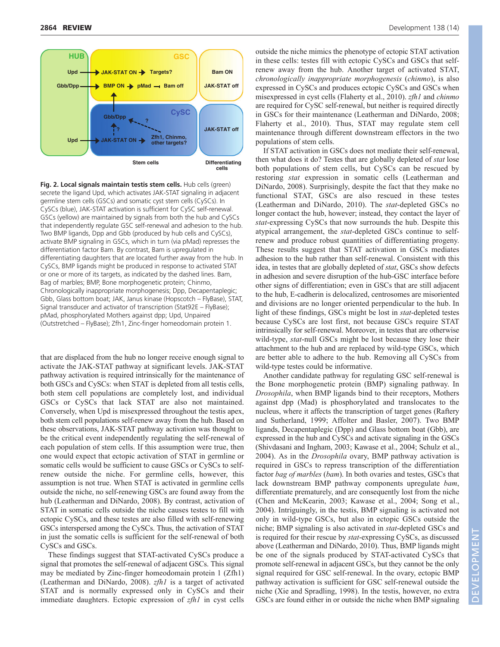

**Fig. 2. Local signals maintain testis stem cells.** Hub cells (green) secrete the ligand Upd, which activates JAK-STAT signaling in adjacent germline stem cells (GSCs) and somatic cyst stem cells (CySCs). In CySCs (blue), JAK-STAT activation is sufficient for CySC self-renewal. GSCs (yellow) are maintained by signals from both the hub and CySCs that independently regulate GSC self-renewal and adhesion to the hub. Two BMP ligands, Dpp and Gbb (produced by hub cells and CySCs), activate BMP signaling in GSCs, which in turn (via pMad) represses the differentiation factor Bam. By contrast, Bam is upregulated in differentiating daughters that are located further away from the hub. In CySCs, BMP ligands might be produced in response to activated STAT or one or more of its targets, as indicated by the dashed lines. Bam, Bag of marbles; BMP, Bone morphogenetic protein; Chinmo, Chronologically inappropriate morphogenesis; Dpp, Decapentaplegic; Gbb, Glass bottom boat; JAK, Janus kinase (Hopscotch – FlyBase), STAT, Signal transducer and activator of transcription (Stat92E – FlyBase); pMad, phosphorylated Mothers against dpp; Upd, Unpaired (Outstretched – FlyBase); Zfh1, Zinc-finger homeodomain protein 1.

that are displaced from the hub no longer receive enough signal to activate the JAK-STAT pathway at significant levels. JAK-STAT pathway activation is required intrinsically for the maintenance of both GSCs and CySCs: when STAT is depleted from all testis cells, both stem cell populations are completely lost, and individual GSCs or CySCs that lack STAT are also not maintained. Conversely, when Upd is misexpressed throughout the testis apex, both stem cell populations self-renew away from the hub. Based on these observations, JAK-STAT pathway activation was thought to be the critical event independently regulating the self-renewal of each population of stem cells. If this assumption were true, then one would expect that ectopic activation of STAT in germline or somatic cells would be sufficient to cause GSCs or CySCs to selfrenew outside the niche. For germline cells, however, this assumption is not true. When STAT is activated in germline cells outside the niche, no self-renewing GSCs are found away from the hub (Leatherman and DiNardo, 2008). By contrast, activation of STAT in somatic cells outside the niche causes testes to fill with ectopic CySCs, and these testes are also filled with self-renewing GSCs interspersed among the CySCs. Thus, the activation of STAT in just the somatic cells is sufficient for the self-renewal of both CySCs and GSCs.

These findings suggest that STAT-activated CySCs produce a signal that promotes the self-renewal of adjacent GSCs. This signal may be mediated by Zinc-finger homeodomain protein 1 (Zfh1) (Leatherman and DiNardo, 2008). *zfh1* is a target of activated STAT and is normally expressed only in CySCs and their immediate daughters. Ectopic expression of *zfh1* in cyst cells

outside the niche mimics the phenotype of ectopic STAT activation in these cells: testes fill with ectopic CySCs and GSCs that selfrenew away from the hub. Another target of activated STAT, *chronologically inappropriate morphogenesis* (*chinmo*), is also expressed in CySCs and produces ectopic CySCs and GSCs when misexpressed in cyst cells (Flaherty et al., 2010). *zfh1* and *chinmo* are required for CySC self-renewal, but neither is required directly in GSCs for their maintenance (Leatherman and DiNardo, 2008; Flaherty et al., 2010). Thus, STAT may regulate stem cell maintenance through different downstream effectors in the two populations of stem cells.

If STAT activation in GSCs does not mediate their self-renewal, then what does it do? Testes that are globally depleted of *stat* lose both populations of stem cells, but CySCs can be rescued by restoring *stat* expression in somatic cells (Leatherman and DiNardo, 2008). Surprisingly, despite the fact that they make no functional STAT, GSCs are also rescued in these testes (Leatherman and DiNardo, 2010). The *stat*-depleted GSCs no longer contact the hub, however; instead, they contact the layer of *stat*-expressing CySCs that now surrounds the hub. Despite this atypical arrangement, the *stat*-depleted GSCs continue to selfrenew and produce robust quantities of differentiating progeny. These results suggest that STAT activation in GSCs mediates adhesion to the hub rather than self-renewal. Consistent with this idea, in testes that are globally depleted of *stat*, GSCs show defects in adhesion and severe disruption of the hub-GSC interface before other signs of differentiation; even in GSCs that are still adjacent to the hub, E-cadherin is delocalized, centrosomes are misoriented and divisions are no longer oriented perpendicular to the hub. In light of these findings, GSCs might be lost in *stat*-depleted testes because CySCs are lost first, not because GSCs require STAT intrinsically for self-renewal. Moreover, in testes that are otherwise wild-type, *stat*-null GSCs might be lost because they lose their attachment to the hub and are replaced by wild-type GSCs, which are better able to adhere to the hub. Removing all CySCs from wild-type testes could be informative.

Another candidate pathway for regulating GSC self-renewal is the Bone morphogenetic protein (BMP) signaling pathway. In *Drosophila*, when BMP ligands bind to their receptors, Mothers against dpp (Mad) is phosphorylated and translocates to the nucleus, where it affects the transcription of target genes (Raftery and Sutherland, 1999; Affolter and Basler, 2007). Two BMP ligands, Decapentaplegic (Dpp) and Glass bottom boat (Gbb), are expressed in the hub and CySCs and activate signaling in the GSCs (Shivdasani and Ingham, 2003; Kawase et al., 2004; Schulz et al., 2004). As in the *Drosophila* ovary, BMP pathway activation is required in GSCs to repress transcription of the differentiation factor *bag of marbles* (*bam*). In both ovaries and testes, GSCs that lack downstream BMP pathway components upregulate *bam*, differentiate prematurely, and are consequently lost from the niche (Chen and McKearin, 2003; Kawase et al., 2004; Song et al., 2004). Intriguingly, in the testis, BMP signaling is activated not only in wild-type GSCs, but also in ectopic GSCs outside the niche; BMP signaling is also activated in *stat*-depleted GSCs and is required for their rescue by *stat*-expressing CySCs, as discussed above (Leatherman and DiNardo, 2010). Thus, BMP ligands might be one of the signals produced by STAT-activated CySCs that promote self-renewal in adjacent GSCs, but they cannot be the only signal required for GSC self-renewal. In the ovary, ectopic BMP pathway activation is sufficient for GSC self-renewal outside the niche (Xie and Spradling, 1998). In the testis, however, no extra GSCs are found either in or outside the niche when BMP signaling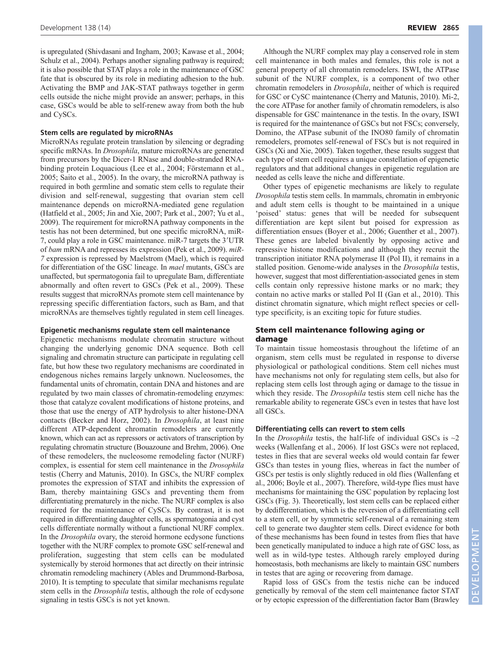is upregulated (Shivdasani and Ingham, 2003; Kawase et al., 2004; Schulz et al., 2004). Perhaps another signaling pathway is required; it is also possible that STAT plays a role in the maintenance of GSC fate that is obscured by its role in mediating adhesion to the hub. Activating the BMP and JAK-STAT pathways together in germ cells outside the niche might provide an answer; perhaps, in this case, GSCs would be able to self-renew away from both the hub and CySCs.

## **Stem cells are regulated by microRNAs**

MicroRNAs regulate protein translation by silencing or degrading specific mRNAs. In *Drosophila*, mature microRNAs are generated from precursors by the Dicer-1 RNase and double-stranded RNAbinding protein Loquacious (Lee et al., 2004; Förstemann et al., 2005; Saito et al., 2005). In the ovary, the microRNA pathway is required in both germline and somatic stem cells to regulate their division and self-renewal, suggesting that ovarian stem cell maintenance depends on microRNA-mediated gene regulation (Hatfield et al., 2005; Jin and Xie, 2007; Park et al., 2007; Yu et al., 2009). The requirement for microRNA pathway components in the testis has not been determined, but one specific microRNA, miR-7, could play a role in GSC maintenance. miR-7 targets the 3'UTR of *bam* mRNA and represses its expression (Pek et al., 2009). *miR-7* expression is repressed by Maelstrom (Mael), which is required for differentiation of the GSC lineage. In *mael* mutants, GSCs are unaffected, but spermatogonia fail to upregulate Bam, differentiate abnormally and often revert to GSCs (Pek et al., 2009). These results suggest that microRNAs promote stem cell maintenance by repressing specific differentiation factors, such as Bam, and that microRNAs are themselves tightly regulated in stem cell lineages.

## **Epigenetic mechanisms regulate stem cell maintenance**

Epigenetic mechanisms modulate chromatin structure without changing the underlying genomic DNA sequence. Both cell signaling and chromatin structure can participate in regulating cell fate, but how these two regulatory mechanisms are coordinated in endogenous niches remains largely unknown. Nucleosomes, the fundamental units of chromatin, contain DNA and histones and are regulated by two main classes of chromatin-remodeling enzymes: those that catalyze covalent modifications of histone proteins, and those that use the energy of ATP hydrolysis to alter histone-DNA contacts (Becker and Horz, 2002). In *Drosophila*, at least nine different ATP-dependent chromatin remodelers are currently known, which can act as repressors or activators of transcription by regulating chromatin structure (Bouazoune and Brehm, 2006). One of these remodelers, the nucleosome remodeling factor (NURF) complex, is essential for stem cell maintenance in the *Drosophila* testis (Cherry and Matunis, 2010). In GSCs, the NURF complex promotes the expression of STAT and inhibits the expression of Bam, thereby maintaining GSCs and preventing them from differentiating prematurely in the niche. The NURF complex is also required for the maintenance of CySCs. By contrast, it is not required in differentiating daughter cells, as spermatogonia and cyst cells differentiate normally without a functional NURF complex. In the *Drosophila* ovary, the steroid hormone ecdysone functions together with the NURF complex to promote GSC self-renewal and proliferation, suggesting that stem cells can be modulated systemically by steroid hormones that act directly on their intrinsic chromatin remodeling machinery (Ables and Drummond-Barbosa, 2010). It is tempting to speculate that similar mechanisms regulate stem cells in the *Drosophila* testis, although the role of ecdysone signaling in testis GSCs is not yet known.

Although the NURF complex may play a conserved role in stem cell maintenance in both males and females, this role is not a general property of all chromatin remodelers. ISWI, the ATPase subunit of the NURF complex, is a component of two other chromatin remodelers in *Drosophila*, neither of which is required for GSC or CySC maintenance (Cherry and Matunis, 2010). Mi-2, the core ATPase for another family of chromatin remodelers, is also dispensable for GSC maintenance in the testis. In the ovary, ISWI is required for the maintenance of GSCs but not FSCs; conversely, Domino, the ATPase subunit of the INO80 family of chromatin remodelers, promotes self-renewal of FSCs but is not required in GSCs (Xi and Xie, 2005). Taken together, these results suggest that each type of stem cell requires a unique constellation of epigenetic regulators and that additional changes in epigenetic regulation are needed as cells leave the niche and differentiate.

Other types of epigenetic mechanisms are likely to regulate *Drosophila* testis stem cells. In mammals, chromatin in embryonic and adult stem cells is thought to be maintained in a unique 'poised' status: genes that will be needed for subsequent differentiation are kept silent but poised for expression as differentiation ensues (Boyer et al., 2006; Guenther et al., 2007). These genes are labeled bivalently by opposing active and repressive histone modifications and although they recruit the transcription initiator RNA polymerase II (Pol II), it remains in a stalled position. Genome-wide analyses in the *Drosophila* testis, however, suggest that most differentiation-associated genes in stem cells contain only repressive histone marks or no mark; they contain no active marks or stalled Pol II (Gan et al., 2010). This distinct chromatin signature, which might reflect species or celltype specificity, is an exciting topic for future studies.

# **Stem cell maintenance following aging or damage**

To maintain tissue homeostasis throughout the lifetime of an organism, stem cells must be regulated in response to diverse physiological or pathological conditions. Stem cell niches must have mechanisms not only for regulating stem cells, but also for replacing stem cells lost through aging or damage to the tissue in which they reside. The *Drosophila* testis stem cell niche has the remarkable ability to regenerate GSCs even in testes that have lost all GSCs.

# **Differentiating cells can revert to stem cells**

In the *Drosophila* testis, the half-life of individual GSCs is  $\sim$ 2 weeks (Wallenfang et al., 2006). If lost GSCs were not replaced, testes in flies that are several weeks old would contain far fewer GSCs than testes in young flies, whereas in fact the number of GSCs per testis is only slightly reduced in old flies (Wallenfang et al., 2006; Boyle et al., 2007). Therefore, wild-type flies must have mechanisms for maintaining the GSC population by replacing lost GSCs (Fig. 3). Theoretically, lost stem cells can be replaced either by dedifferentiation, which is the reversion of a differentiating cell to a stem cell, or by symmetric self-renewal of a remaining stem cell to generate two daughter stem cells. Direct evidence for both of these mechanisms has been found in testes from flies that have been genetically manipulated to induce a high rate of GSC loss, as well as in wild-type testes. Although rarely employed during homeostasis, both mechanisms are likely to maintain GSC numbers in testes that are aging or recovering from damage.

Rapid loss of GSCs from the testis niche can be induced genetically by removal of the stem cell maintenance factor STAT or by ectopic expression of the differentiation factor Bam (Brawley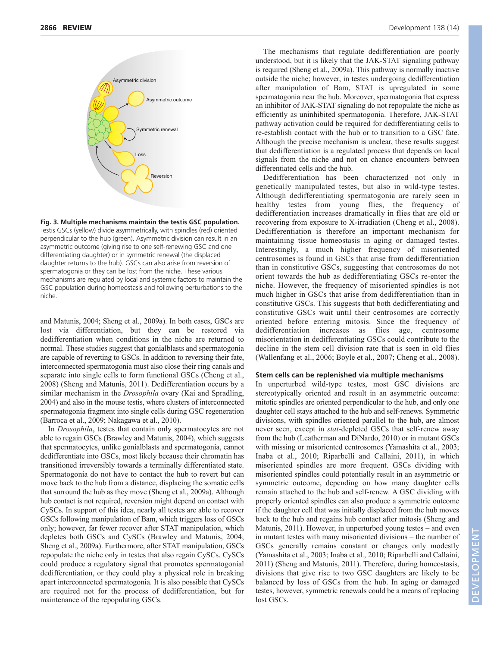

**Fig. 3. Multiple mechanisms maintain the testis GSC population.** Testis GSCs (yellow) divide asymmetrically, with spindles (red) oriented perpendicular to the hub (green). Asymmetric division can result in an asymmetric outcome (giving rise to one self-renewing GSC and one differentiating daughter) or in symmetric renewal (the displaced daughter returns to the hub). GSCs can also arise from reversion of spermatogonia or they can be lost from the niche. These various mechanisms are regulated by local and systemic factors to maintain the GSC population during homeostasis and following perturbations to the niche.

and Matunis, 2004; Sheng et al., 2009a). In both cases, GSCs are lost via differentiation, but they can be restored via dedifferentiation when conditions in the niche are returned to normal. These studies suggest that gonialblasts and spermatogonia are capable of reverting to GSCs. In addition to reversing their fate, interconnected spermatogonia must also close their ring canals and separate into single cells to form functional GSCs (Cheng et al., 2008) (Sheng and Matunis, 2011). Dedifferentiation occurs by a similar mechanism in the *Drosophila* ovary (Kai and Spradling, 2004) and also in the mouse testis, where clusters of interconnected spermatogonia fragment into single cells during GSC regeneration (Barroca et al., 2009; Nakagawa et al., 2010).

In *Drosophila*, testes that contain only spermatocytes are not able to regain GSCs (Brawley and Matunis, 2004), which suggests that spermatocytes, unlike gonialblasts and spermatogonia, cannot dedifferentiate into GSCs, most likely because their chromatin has transitioned irreversibly towards a terminally differentiated state. Spermatogonia do not have to contact the hub to revert but can move back to the hub from a distance, displacing the somatic cells that surround the hub as they move (Sheng et al., 2009a). Although hub contact is not required, reversion might depend on contact with CySCs. In support of this idea, nearly all testes are able to recover GSCs following manipulation of Bam, which triggers loss of GSCs only; however, far fewer recover after STAT manipulation, which depletes both GSCs and CySCs (Brawley and Matunis, 2004; Sheng et al., 2009a). Furthermore, after STAT manipulation, GSCs repopulate the niche only in testes that also regain CySCs. CySCs could produce a regulatory signal that promotes spermatogonial dedifferentiation, or they could play a physical role in breaking apart interconnected spermatogonia. It is also possible that CySCs are required not for the process of dedifferentiation, but for maintenance of the repopulating GSCs.

The mechanisms that regulate dedifferentiation are poorly understood, but it is likely that the JAK-STAT signaling pathway is required (Sheng et al., 2009a). This pathway is normally inactive outside the niche; however, in testes undergoing dedifferentiation after manipulation of Bam, STAT is upregulated in some spermatogonia near the hub. Moreover, spermatogonia that express an inhibitor of JAK-STAT signaling do not repopulate the niche as efficiently as uninhibited spermatogonia. Therefore, JAK-STAT pathway activation could be required for dedifferentiating cells to re-establish contact with the hub or to transition to a GSC fate. Although the precise mechanism is unclear, these results suggest that dedifferentiation is a regulated process that depends on local signals from the niche and not on chance encounters between differentiated cells and the hub.

Dedifferentiation has been characterized not only in genetically manipulated testes, but also in wild-type testes. Although dedifferentiating spermatogonia are rarely seen in healthy testes from young flies, the frequency of dedifferentiation increases dramatically in flies that are old or recovering from exposure to X-irradiation (Cheng et al., 2008). Dedifferentiation is therefore an important mechanism for maintaining tissue homeostasis in aging or damaged testes. Interestingly, a much higher frequency of misoriented centrosomes is found in GSCs that arise from dedifferentiation than in constitutive GSCs, suggesting that centrosomes do not orient towards the hub as dedifferentiating GSCs re-enter the niche. However, the frequency of misoriented spindles is not much higher in GSCs that arise from dedifferentiation than in constitutive GSCs. This suggests that both dedifferentiating and constitutive GSCs wait until their centrosomes are correctly oriented before entering mitosis. Since the frequency of dedifferentiation increases as flies age, centrosome misorientation in dedifferentiating GSCs could contribute to the decline in the stem cell division rate that is seen in old flies (Wallenfang et al., 2006; Boyle et al., 2007; Cheng et al., 2008).

#### **Stem cells can be replenished via multiple mechanisms**

In unperturbed wild-type testes, most GSC divisions are stereotypically oriented and result in an asymmetric outcome: mitotic spindles are oriented perpendicular to the hub, and only one daughter cell stays attached to the hub and self-renews. Symmetric divisions, with spindles oriented parallel to the hub, are almost never seen, except in *stat*-depleted GSCs that self-renew away from the hub (Leatherman and DiNardo, 2010) or in mutant GSCs with missing or misoriented centrosomes (Yamashita et al., 2003; Inaba et al., 2010; Riparbelli and Callaini, 2011), in which misoriented spindles are more frequent. GSCs dividing with misoriented spindles could potentially result in an asymmetric or symmetric outcome, depending on how many daughter cells remain attached to the hub and self-renew. A GSC dividing with properly oriented spindles can also produce a symmetric outcome if the daughter cell that was initially displaced from the hub moves back to the hub and regains hub contact after mitosis (Sheng and Matunis, 2011). However, in unperturbed young testes – and even in mutant testes with many misoriented divisions – the number of GSCs generally remains constant or changes only modestly (Yamashita et al., 2003; Inaba et al., 2010; Riparbelli and Callaini, 2011) (Sheng and Matunis, 2011). Therefore, during homeostasis, divisions that give rise to two GSC daughters are likely to be balanced by loss of GSCs from the hub. In aging or damaged testes, however, symmetric renewals could be a means of replacing lost GSCs.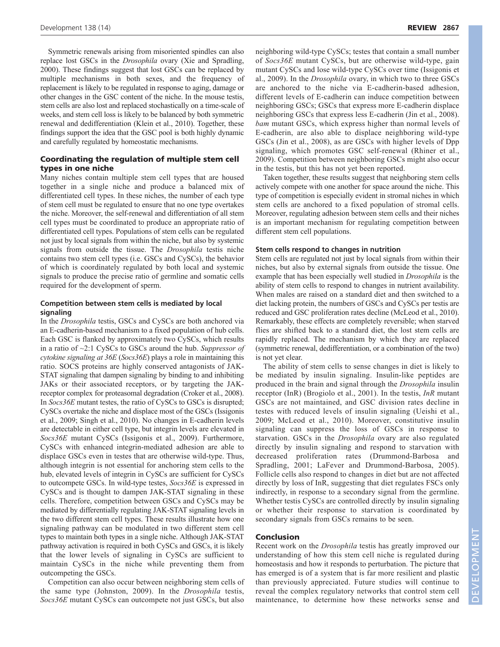Symmetric renewals arising from misoriented spindles can also replace lost GSCs in the *Drosophila* ovary (Xie and Spradling, 2000). These findings suggest that lost GSCs can be replaced by multiple mechanisms in both sexes, and the frequency of replacement is likely to be regulated in response to aging, damage or other changes in the GSC content of the niche. In the mouse testis, stem cells are also lost and replaced stochastically on a time-scale of weeks, and stem cell loss is likely to be balanced by both symmetric renewal and dedifferentiation (Klein et al., 2010). Together, these findings support the idea that the GSC pool is both highly dynamic and carefully regulated by homeostatic mechanisms.

## **Coordinating the regulation of multiple stem cell types in one niche**

Many niches contain multiple stem cell types that are housed together in a single niche and produce a balanced mix of differentiated cell types. In these niches, the number of each type of stem cell must be regulated to ensure that no one type overtakes the niche. Moreover, the self-renewal and differentiation of all stem cell types must be coordinated to produce an appropriate ratio of differentiated cell types. Populations of stem cells can be regulated not just by local signals from within the niche, but also by systemic signals from outside the tissue. The *Drosophila* testis niche contains two stem cell types (i.e. GSCs and CySCs), the behavior of which is coordinately regulated by both local and systemic signals to produce the precise ratio of germline and somatic cells required for the development of sperm.

## **Competition between stem cells is mediated by local signaling**

In the *Drosophila* testis, GSCs and CySCs are both anchored via an E-cadherin-based mechanism to a fixed population of hub cells. Each GSC is flanked by approximately two CySCs, which results in a ratio of ~2:1 CySCs to GSCs around the hub. *Suppressor of cytokine signaling at 36E* (*Socs36E*) plays a role in maintaining this ratio. SOCS proteins are highly conserved antagonists of JAK-STAT signaling that dampen signaling by binding to and inhibiting JAKs or their associated receptors, or by targeting the JAKreceptor complex for proteasomal degradation (Croker et al., 2008). In *Socs36E* mutant testes, the ratio of CySCs to GSCs is disrupted; CySCs overtake the niche and displace most of the GSCs (Issigonis et al., 2009; Singh et al., 2010). No changes in E-cadherin levels are detectable in either cell type, but integrin levels are elevated in *Socs36E* mutant CySCs (Issigonis et al., 2009). Furthermore, CySCs with enhanced integrin-mediated adhesion are able to displace GSCs even in testes that are otherwise wild-type. Thus, although integrin is not essential for anchoring stem cells to the hub, elevated levels of integrin in CySCs are sufficient for CySCs to outcompete GSCs. In wild-type testes, *Socs36E* is expressed in CySCs and is thought to dampen JAK-STAT signaling in these cells. Therefore, competition between GSCs and CySCs may be mediated by differentially regulating JAK-STAT signaling levels in the two different stem cell types. These results illustrate how one signaling pathway can be modulated in two different stem cell types to maintain both types in a single niche. Although JAK-STAT pathway activation is required in both CySCs and GSCs, it is likely that the lower levels of signaling in CySCs are sufficient to maintain CySCs in the niche while preventing them from outcompeting the GSCs.

Competition can also occur between neighboring stem cells of the same type (Johnston, 2009). In the *Drosophila* testis, *Socs36E* mutant CySCs can outcompete not just GSCs, but also neighboring wild-type CySCs; testes that contain a small number of *Socs36E* mutant CySCs, but are otherwise wild-type, gain mutant CySCs and lose wild-type CySCs over time (Issigonis et al., 2009). In the *Drosophila* ovary, in which two to three GSCs are anchored to the niche via E-cadherin-based adhesion, different levels of E-cadherin can induce competition between neighboring GSCs; GSCs that express more E-cadherin displace neighboring GSCs that express less E-cadherin (Jin et al., 2008). *bam* mutant GSCs, which express higher than normal levels of E-cadherin, are also able to displace neighboring wild-type GSCs (Jin et al., 2008), as are GSCs with higher levels of Dpp signaling, which promotes GSC self-renewal (Rhiner et al., 2009). Competition between neighboring GSCs might also occur in the testis, but this has not yet been reported.

Taken together, these results suggest that neighboring stem cells actively compete with one another for space around the niche. This type of competition is especially evident in stromal niches in which stem cells are anchored to a fixed population of stromal cells. Moreover, regulating adhesion between stem cells and their niches is an important mechanism for regulating competition between different stem cell populations.

## **Stem cells respond to changes in nutrition**

Stem cells are regulated not just by local signals from within their niches, but also by external signals from outside the tissue. One example that has been especially well studied in *Drosophila* is the ability of stem cells to respond to changes in nutrient availability. When males are raised on a standard diet and then switched to a diet lacking protein, the numbers of GSCs and CySCs per testis are reduced and GSC proliferation rates decline (McLeod et al., 2010). Remarkably, these effects are completely reversible; when starved flies are shifted back to a standard diet, the lost stem cells are rapidly replaced. The mechanism by which they are replaced (symmetric renewal, dedifferentiation, or a combination of the two) is not yet clear.

The ability of stem cells to sense changes in diet is likely to be mediated by insulin signaling. Insulin-like peptides are produced in the brain and signal through the *Drosophila* insulin receptor (InR) (Brogiolo et al., 2001). In the testis, *InR* mutant GSCs are not maintained, and GSC division rates decline in testes with reduced levels of insulin signaling (Ueishi et al., 2009; McLeod et al., 2010). Moreover, constitutive insulin signaling can suppress the loss of GSCs in response to starvation. GSCs in the *Drosophila* ovary are also regulated directly by insulin signaling and respond to starvation with decreased proliferation rates (Drummond-Barbosa and Spradling, 2001; LaFever and Drummond-Barbosa, 2005). Follicle cells also respond to changes in diet but are not affected directly by loss of InR, suggesting that diet regulates FSCs only indirectly, in response to a secondary signal from the germline. Whether testis CySCs are controlled directly by insulin signaling or whether their response to starvation is coordinated by secondary signals from GSCs remains to be seen.

## **Conclusion**

Recent work on the *Drosophila* testis has greatly improved our understanding of how this stem cell niche is regulated during homeostasis and how it responds to perturbation. The picture that has emerged is of a system that is far more resilient and plastic than previously appreciated. Future studies will continue to reveal the complex regulatory networks that control stem cell maintenance, to determine how these networks sense and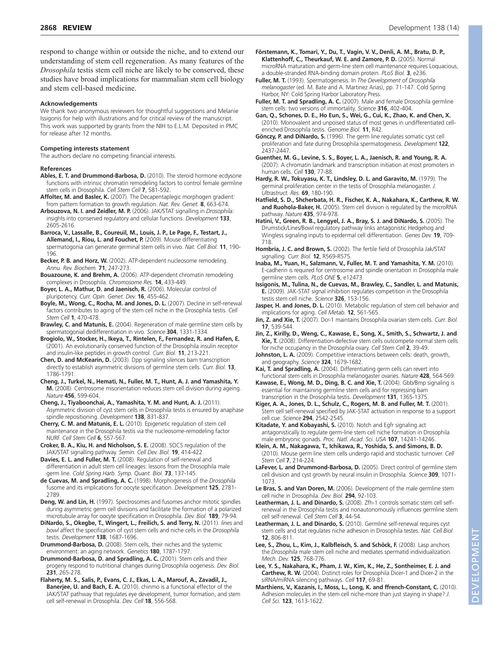respond to change within or outside the niche, and to extend our understanding of stem cell regeneration. As many features of the *Drosophila* testis stem cell niche are likely to be conserved, these studies have broad implications for mammalian stem cell biology and stem cell-based medicine.

#### **Acknowledgements**

We thank two anonymous reviewers for thoughtful suggestions and Melanie Issigonis for help with illustrations and for critical review of the manuscript. This work was supported by grants from the NIH to E.L.M. Deposited in PMC for release after 12 months.

#### **Competing interests statement**

The authors declare no competing financial interests.

#### **References**

- **Ables, E. T. and Drummond-Barbosa, D.** (2010). The steroid hormone ecdysone functions with intrinsic chromatin remodeling factors to control female germline stem cells in Drosophila. *Cell Stem Cell* **7**, 581-592.
- **Affolter, M. and Basler, K.** (2007). The Decapentaplegic morphogen gradient: from pattern formation to growth regulation. *Nat. Rev. Genet.* **8**, 663-674.
- **Arbouzova, N. I. and Zeidler, M. P.** (2006). JAK/STAT signalling in *Drosophila*: insights into conserved regulatory and cellular functions. *Development* **133**, 2605-2616.
- **Barroca, V., Lassalle, B., Coureuil, M., Louis, J. P., Le Page, F., Testart, J., Allemand, I., Riou, L. and Fouchet, P.** (2009). Mouse differentiating spermatogonia can generate germinal stem cells in vivo. *Nat. Cell Biol.* **11**, 190- 196.
- **Becker, P. B. and Horz, W.** (2002). ATP-dependent nucleosome remodeling. *Annu. Rev. Biochem.* **71**, 247-273.
- **Bouazoune, K. and Brehm, A.** (2006). ATP-dependent chromatin remodeling complexes in Drosophila. *Chromosome Res.* **14**, 433-449.
- **Boyer, L. A., Mathur, D. and Jaenisch, R.** (2006). Molecular control of pluripotency. *Curr. Opin. Genet. Dev.* **16**, 455-462.
- **Boyle, M., Wong, C., Rocha, M. and Jones, D. L.** (2007). Decline in self-renewal factors contributes to aging of the stem cell niche in the Drosophila testis. *Cell Stem Cell* **1**, 470-478.
- **Brawley, C. and Matunis, E.** (2004). Regeneration of male germline stem cells by spermatogonial dedifferentiation in vivo. *Science* **304**, 1331-1334.
- **Brogiolo, W., Stocker, H., Ikeya, T., Rintelen, F., Fernandez, R. and Hafen, E.** (2001). An evolutionarily conserved function of the Drosophila insulin receptor and insulin-like peptides in growth control. *Curr. Biol.* **11**, 213-221.

**Chen, D. and McKearin, D.** (2003). Dpp signaling silences bam transcription directly to establish asymmetric divisions of germline stem cells. *Curr. Biol.* **13**, 1786-1791.

- **Cheng, J., Turkel, N., Hemati, N., Fuller, M. T., Hunt, A. J. and Yamashita, Y. M.** (2008). Centrosome misorientation reduces stem cell division during ageing. *Nature* **456**, 599-604.
- **Cheng, J., Tiyaboonchai, A., Yamashita, Y. M. and Hunt, A. J.** (2011). Asymmetric division of cyst stem cells in Drosophila testis is ensured by anaphase spindle repositioning. *Development* **138**, 831-837.

**Cherry, C. M. and Matunis, E. L.** (2010). Epigenetic regulation of stem cell maintenance in the Drosophila testis via the nucleosome-remodeling factor NURF. *Cell Stem Cell* **6**, 557-567.

- **Croker, B. A., Kiu, H. and Nicholson, S. E.** (2008). SOCS regulation of the JAK/STAT signalling pathway. *Semin. Cell Dev. Biol.* **19**, 414-422.
- **Davies, E. L. and Fuller, M. T.** (2008). Regulation of self-renewal and differentiation in adult stem cell lineages: lessons from the Drosophila male germ line. *Cold Spring Harb. Symp. Quant. Biol.* **73**, 137-145.
- **de Cuevas, M. and Spradling, A. C.** (1998). Morphogenesis of the *Drosophila* fusome and its implications for oocyte specification. *Development* **125**, 2781- 2789.
- **Deng, W. and Lin, H.** (1997). Spectrosomes and fusomes anchor mitotic spindles during asymmetric germ cell divisions and facilitate the formation of a polarized microtubule array for oocyte specification in Drosophila. *Dev. Biol.* **189**, 79-94.
- **DiNardo, S., Okegbe, T., Wingert, L., Freilich, S. and Terry, N.** (2011). *lines* and *bowl* affect the specification of cyst stem cells and niche cells in the *Drosophila* testis. *Development* **138**, 1687-1696.
- **Drummond-Barbosa, D.** (2008). Stem cells, their niches and the systemic environment: an aging network. *Genetics* **180**, 1787-1797.
- **Drummond-Barbosa, D. and Spradling, A. C.** (2001). Stem cells and their progeny respond to nutritional changes during Drosophila oogenesis. *Dev. Biol.* **231**, 265-278.
- **Flaherty, M. S., Salis, P., Evans, C. J., Ekas, L. A., Marouf, A., Zavadil, J., Banerjee, U. and Bach, E. A.** (2010). chinmo is a functional effector of the JAK/STAT pathway that regulates eye development, tumor formation, and stem cell self-renewal in Drosophila. *Dev. Cell* **18**, 556-568.
- **Förstemann, K., Tomari, Y., Du, T., Vagin, V. V., Denli, A. M., Bratu, D. P., Klattenhoff, C., Theurkauf, W. E. and Zamore, P. D.** (2005). Normal microRNA maturation and germ-line stem cell maintenance requires Loquacious, a double-stranded RNA-binding domain protein. *PLoS Biol.* **3**, e236.
- **Fuller, M. T.** (1993). Spermatogenesis. In *The Development of Drosophila melanogaster* (ed. M. Bate and A. Martinez Arias), pp. 71-147. Cold Spring Harbor, NY: Cold Spring Harbor Laboratory Press.
- Fuller, M. T. and Spradling, A. C. (2007). Male and female Drosophila germline stem cells: two versions of immortality. *Science* **316**, 402-404.
- **Gan, Q., Schones, D. E., Ho Eun, S., Wei, G., Cui, K., Zhao, K. and Chen, X.** (2010). Monovalent and unpoised status of most genes in undifferentiated cellenriched Drosophila testis. *Genome Biol.* **11**, R42.
- **Gönczy, P. and DiNardo, S.** (1996). The germ line regulates somatic cyst cell proliferation and fate during Drosophila spermatogenesis. *Development* **122**, 2437-2447.
- **Guenther, M. G., Levine, S. S., Boyer, L. A., Jaenisch, R. and Young, R. A.** (2007). A chromatin landmark and transcription initiation at most promoters in human cells. *Cell* **130**, 77-88.
- **Hardy, R. W., Tokuyasu, K. T., Lindsley, D. L. and Garavito, M.** (1979). The germinal proliferation center in the testis of Drosophila melanogaster. *J. Ultrastruct. Res.* **69**, 180-190.
- **Hatfield, S. D., Shcherbata, H. R., Fischer, K. A., Nakahara, K., Carthew, R. W. and Ruohola-Baker, H.** (2005). Stem cell division is regulated by the microRNA pathway. *Nature* **435**, 974-978.
- **Hatini, V., Green, R. B., Lengyel, J. A., Bray, S. J. and DiNardo, S.** (2005). The Drumstick/Lines/Bowl regulatory pathway links antagonistic Hedgehog and Wingless signaling inputs to epidermal cell differentiation. *Genes Dev.* **19**, 709- 718.
- **Hombría, J. C. and Brown, S.** (2002). The fertile field of Drosophila Jak/STAT signalling. *Curr. Biol.* **12**, R569-R575.
- **Inaba, M., Yuan, H., Salzmann, V., Fuller, M. T. and Yamashita, Y. M.** (2010). E-cadherin is required for centrosome and spindle orientation in Drosophila male germline stem cells. *PLoS ONE* **5**, e12473.
- **Issigonis, M., Tulina, N., de Cuevas, M., Brawley, C., Sandler, L. and Matunis, E.** (2009). JAK-STAT signal inhibition regulates competition in the Drosophila testis stem cell niche. *Science* **326**, 153-156.
- Jasper, H. and Jones, D. L. (2010). Metabolic regulation of stem cell behavior and implications for aging. *Cell Metab.* **12**, 561-565.
- Jin, Z. and Xie, T. (2007). Dcr-1 maintains Drosophila ovarian stem cells. *Curr. Biol.* **17**, 539-544.
- **Jin, Z., Kirilly, D., Weng, C., Kawase, E., Song, X., Smith, S., Schwartz, J. and Xie, T.** (2008). Differentiation-defective stem cells outcompete normal stem cells for niche occupancy in the Drosophila ovary. *Cell Stem Cell* **2**, 39-49.
- Johnston, L. A. (2009). Competitive interactions between cells: death, growth, and geography. *Science* **324**, 1679-1682.
- **Kai, T. and Spradling, A.** (2004). Differentiating germ cells can revert into functional stem cells in Drosophila melanogaster ovaries. *Nature* **428**, 564-569.
- **Kawase, E., Wong, M. D., Ding, B. C. and Xie, T.** (2004). Gbb/Bmp signaling is essential for maintaining germline stem cells and for repressing bam
- transcription in the Drosophila testis. *Development* **131**, 1365-1375. **Kiger, A. A., Jones, D. L., Schulz, C., Rogers, M. B. and Fuller, M. T.** (2001). Stem cell self-renewal specified by JAK-STAT activation in response to a support cell cue. *Science* **294**, 2542-2545.
- **Kitadate, Y. and Kobayashi, S.** (2010). Notch and Egfr signaling act antagonistically to regulate germ-line stem cell niche formation in Drosophila male embryonic gonads. *Proc. Natl. Acad. Sci. USA* **107**, 14241-14246.
- **Klein, A. M., Nakagawa, T., Ichikawa, R., Yoshida, S. and Simons, B. D.** (2010). Mouse germ line stem cells undergo rapid and stochastic turnover. *Cell Stem Cell* **7**, 214-224.
- **LaFever, L. and Drummond-Barbosa, D.** (2005). Direct control of germline stem cell division and cyst growth by neural insulin in Drosophila. *Science* **309**, 1071- 1073.
- **Le Bras, S. and Van Doren, M.** (2006). Development of the male germline stem cell niche in Drosophila. *Dev. Biol.* **294**, 92-103.
- **Leatherman, J. L. and Dinardo, S.** (2008). Zfh-1 controls somatic stem cell selfrenewal in the Drosophila testis and nonautonomously influences germline stem cell self-renewal. *Cell Stem Cell* **3**, 44-54.
- Leatherman, J. L. and Dinardo, S. (2010). Germline self-renewal requires cyst stem cells and stat regulates niche adhesion in Drosophila testes. *Nat. Cell Biol.* **12**, 806-811.
- **Lee, S., Zhou, L., Kim, J., Kalbfleisch, S. and Schöck, F.** (2008). Lasp anchors the *Drosophila* male stem cell niche and mediates spermatid individualization. *Mech. Dev.* **125**, 768-776.
- **Lee, Y. S., Nakahara, K., Pham, J. W., Kim, K., He, Z., Sontheimer, E. J. and Carthew, R. W.** (2004). Distinct roles for Drosophila Dicer-1 and Dicer-2 in the siRNA/miRNA silencing pathways. *Cell* **117**, 69-81.
- **Marthiens, V., Kazanis, I., Moss, L., Long, K. and ffrench-Constant, C.** (2010). Adhesion molecules in the stem cell niche-more than just staying in shape? *J. Cell Sci.* **123**, 1613-1622.